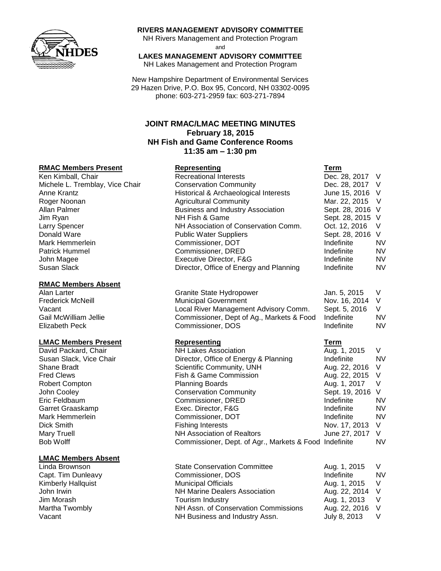

### **RIVERS MANAGEMENT ADVISORY COMMITTEE**

NH Rivers Management and Protection Program and

**LAKES MANAGEMENT ADVISORY COMMITTEE**

NH Lakes Management and Protection Program

New Hampshire Department of Environmental Services 29 Hazen Drive, P.O. Box 95, Concord, NH 03302-0095 phone: 603-271-2959 fax: 603-271-7894

## **JOINT RMAC/LMAC MEETING MINUTES February 18, 2015 NH Fish and Game Conference Rooms 11:35 am – 1:30 pm**

## **RMAC Members Present Representing Term**

#### **RMAC Members Absent**

### **LMAC Members Present Representing Term**

### **LMAC Members Absent**

| Ken Kimball, Chair<br><b>Recreational Interests</b>              | Dec. 28, 2017 V         |           |
|------------------------------------------------------------------|-------------------------|-----------|
| Michele L. Tremblay, Vice Chair<br><b>Conservation Community</b> | Dec. 28, 2017 V         |           |
| Historical & Archaeological Interests<br>Anne Krantz             | June 15, 2016 V         |           |
| <b>Agricultural Community</b><br>Roger Noonan                    | Mar. 22, 2015 V         |           |
| <b>Business and Industry Association</b><br>Allan Palmer         | Sept. 28, 2016 V        |           |
| NH Fish & Game<br>Jim Ryan                                       | Sept. 28, 2015 V        |           |
| NH Association of Conservation Comm.<br><b>Larry Spencer</b>     | Oct. 12, 2016<br>$\vee$ |           |
| Donald Ware<br><b>Public Water Suppliers</b>                     | Sept. 28, 2016 V        |           |
| Commissioner, DOT<br>Mark Hemmerlein                             | Indefinite              | <b>NV</b> |
| Commissioner, DRED<br><b>Patrick Hummel</b>                      | Indefinite              | <b>NV</b> |
| John Magee<br>Executive Director, F&G                            | Indefinite              | <b>NV</b> |
| Director, Office of Energy and Planning<br>Susan Slack           | Indefinite              | <b>NV</b> |

| Alan Larter              | Granite State Hydropower                  | Jan. 5, 2015    |           |
|--------------------------|-------------------------------------------|-----------------|-----------|
| <b>Frederick McNeill</b> | <b>Municipal Government</b>               | Nov. 16, 2014 V |           |
| Vacant                   | Local River Management Advisory Comm.     | Sept. 5, 2016   |           |
| Gail McWilliam Jellie    | Commissioner, Dept of Ag., Markets & Food | Indefinite      | <b>NV</b> |
| Elizabeth Peck           | Commissioner, DOS                         | Indefinite      | <b>NV</b> |

| <b>NH Lakes Association</b>           | Aug. 1, 2015     | V                                                      |
|---------------------------------------|------------------|--------------------------------------------------------|
| Director, Office of Energy & Planning | Indefinite       | <b>NV</b>                                              |
| Scientific Community, UNH             | Aug. 22, 2016 V  |                                                        |
| Fish & Game Commission                | Aug. 22, 2015 V  |                                                        |
| <b>Planning Boards</b>                | Aug. 1, 2017     | $\vee$                                                 |
| <b>Conservation Community</b>         | Sept. 19, 2016 V |                                                        |
| Commissioner, DRED                    | Indefinite       | <b>NV</b>                                              |
| Exec. Director, F&G                   | Indefinite       | <b>NV</b>                                              |
| Commissioner, DOT                     | Indefinite       | <b>NV</b>                                              |
| <b>Fishing Interests</b>              | Nov. 17, 2013    | $\vee$                                                 |
| NH Association of Realtors            | June 27, 2017 V  |                                                        |
|                                       |                  | <b>NV</b>                                              |
|                                       |                  | Commissioner, Dept. of Agr., Markets & Food Indefinite |

| Linda Brownson            | <b>State Conservation Committee</b>  | Aug. 1, 2015    |           |
|---------------------------|--------------------------------------|-----------------|-----------|
| Capt. Tim Dunleavy        | Commissioner, DOS                    | Indefinite      | <b>NV</b> |
| <b>Kimberly Hallquist</b> | <b>Municipal Officials</b>           | Aug. 1, 2015 V  |           |
| John Irwin                | <b>NH Marine Dealers Association</b> | Aug. 22, 2014 V |           |
| Jim Morash                | Tourism Industry                     | Aug. 1, 2013 V  |           |
| Martha Twombly            | NH Assn. of Conservation Commissions | Aug. 22, 2016 V |           |
| Vacant                    | NH Business and Industry Assn.       | July 8, 2013    |           |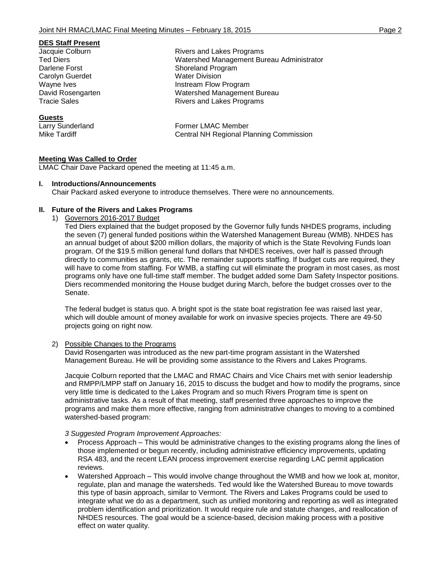#### **DES Staff Present**

Carolyn Guerdet Water Division

#### **Guests**

**Meeting Was Called to Order**

LMAC Chair Dave Packard opened the meeting at 11:45 a.m.

### **I. Introductions/Announcements**

Chair Packard asked everyone to introduce themselves. There were no announcements.

### **II. Future of the Rivers and Lakes Programs**

1) Governors 2016-2017 Budget

Ted Diers explained that the budget proposed by the Governor fully funds NHDES programs, including the seven (7) general funded positions within the Watershed Management Bureau (WMB). NHDES has an annual budget of about \$200 million dollars, the majority of which is the State Revolving Funds loan program. Of the \$19.5 million general fund dollars that NHDES receives, over half is passed through directly to communities as grants, etc. The remainder supports staffing. If budget cuts are required, they will have to come from staffing. For WMB, a staffing cut will eliminate the program in most cases, as most programs only have one full-time staff member. The budget added some Dam Safety Inspector positions. Diers recommended monitoring the House budget during March, before the budget crosses over to the Senate.

The federal budget is status quo. A bright spot is the state boat registration fee was raised last year, which will double amount of money available for work on invasive species projects. There are 49-50 projects going on right now.

#### 2) Possible Changes to the Programs

David Rosengarten was introduced as the new part-time program assistant in the Watershed Management Bureau. He will be providing some assistance to the Rivers and Lakes Programs.

Jacquie Colburn reported that the LMAC and RMAC Chairs and Vice Chairs met with senior leadership and RMPP/LMPP staff on January 16, 2015 to discuss the budget and how to modify the programs, since very little time is dedicated to the Lakes Program and so much Rivers Program time is spent on administrative tasks. As a result of that meeting, staff presented three approaches to improve the programs and make them more effective, ranging from administrative changes to moving to a combined watershed-based program:

### *3 Suggested Program Improvement Approaches:*

- Process Approach This would be administrative changes to the existing programs along the lines of those implemented or begun recently, including administrative efficiency improvements, updating RSA 483, and the recent LEAN process improvement exercise regarding LAC permit application reviews.
- Watershed Approach This would involve change throughout the WMB and how we look at, monitor, regulate, plan and manage the watersheds. Ted would like the Watershed Bureau to move towards this type of basin approach, similar to Vermont. The Rivers and Lakes Programs could be used to integrate what we do as a department, such as unified monitoring and reporting as well as integrated problem identification and prioritization. It would require rule and statute changes, and reallocation of NHDES resources. The goal would be a science-based, decision making process with a positive effect on water quality.

Jacquie Colburn Rivers and Lakes Programs Watershed Management Bureau Administrator Darlene Forst Shoreland Program Wayne Ives **Instream Flow Program** David Rosengarten Management Bureau Tracie Sales **Rivers** and Lakes Programs

Larry Sunderland **Former LMAC Member** Mike Tardiff Central NH Regional Planning Commission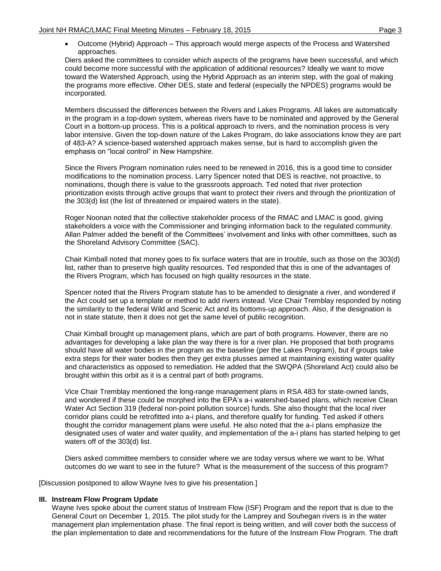Outcome (Hybrid) Approach – This approach would merge aspects of the Process and Watershed approaches.

Diers asked the committees to consider which aspects of the programs have been successful, and which could become more successful with the application of additional resources? Ideally we want to move toward the Watershed Approach, using the Hybrid Approach as an interim step, with the goal of making the programs more effective. Other DES, state and federal (especially the NPDES) programs would be incorporated.

Members discussed the differences between the Rivers and Lakes Programs. All lakes are automatically in the program in a top-down system, whereas rivers have to be nominated and approved by the General Court in a bottom-up process. This is a political approach to rivers, and the nomination process is very labor intensive. Given the top-down nature of the Lakes Program, do lake associations know they are part of 483-A? A science-based watershed approach makes sense, but is hard to accomplish given the emphasis on "local control" in New Hampshire.

Since the Rivers Program nomination rules need to be renewed in 2016, this is a good time to consider modifications to the nomination process. Larry Spencer noted that DES is reactive, not proactive, to nominations, though there is value to the grassroots approach. Ted noted that river protection prioritization exists through active groups that want to protect their rivers and through the prioritization of the 303(d) list (the list of threatened or impaired waters in the state).

Roger Noonan noted that the collective stakeholder process of the RMAC and LMAC is good, giving stakeholders a voice with the Commissioner and bringing information back to the regulated community. Allan Palmer added the benefit of the Committees' involvement and links with other committees, such as the Shoreland Advisory Committee (SAC).

Chair Kimball noted that money goes to fix surface waters that are in trouble, such as those on the 303(d) list, rather than to preserve high quality resources. Ted responded that this is one of the advantages of the Rivers Program, which has focused on high quality resources in the state.

Spencer noted that the Rivers Program statute has to be amended to designate a river, and wondered if the Act could set up a template or method to add rivers instead. Vice Chair Tremblay responded by noting the similarity to the federal Wild and Scenic Act and its bottoms-up approach. Also, if the designation is not in state statute, then it does not get the same level of public recognition.

Chair Kimball brought up management plans, which are part of both programs. However, there are no advantages for developing a lake plan the way there is for a river plan. He proposed that both programs should have all water bodies in the program as the baseline (per the Lakes Program), but if groups take extra steps for their water bodies then they get extra plusses aimed at maintaining existing water quality and characteristics as opposed to remediation. He added that the SWQPA (Shoreland Act) could also be brought within this orbit as it is a central part of both programs.

Vice Chair Tremblay mentioned the long-range management plans in RSA 483 for state-owned lands, and wondered if these could be morphed into the EPA's a-i watershed-based plans, which receive Clean Water Act Section 319 (federal non-point pollution source) funds. She also thought that the local river corridor plans could be retrofitted into a-i plans, and therefore qualify for funding. Ted asked if others thought the corridor management plans were useful. He also noted that the a-i plans emphasize the designated uses of water and water quality, and implementation of the a-i plans has started helping to get waters off of the 303(d) list.

Diers asked committee members to consider where we are today versus where we want to be. What outcomes do we want to see in the future? What is the measurement of the success of this program?

[Discussion postponed to allow Wayne Ives to give his presentation.]

## **III. Instream Flow Program Update**

Wayne Ives spoke about the current status of Instream Flow (ISF) Program and the report that is due to the General Court on December 1, 2015. The pilot study for the Lamprey and Souhegan rivers is in the water management plan implementation phase. The final report is being written, and will cover both the success of the plan implementation to date and recommendations for the future of the Instream Flow Program. The draft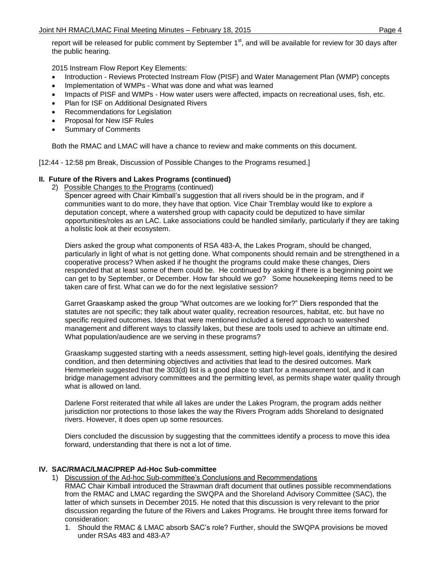report will be released for public comment by September 1<sup>st</sup>, and will be available for review for 30 days after the public hearing.

2015 Instream Flow Report Key Elements:

- Introduction Reviews Protected Instream Flow (PISF) and Water Management Plan (WMP) concepts
- Implementation of WMPs What was done and what was learned
- Impacts of PISF and WMPs How water users were affected, impacts on recreational uses, fish, etc.
- Plan for ISF on Additional Designated Rivers
- Recommendations for Legislation
- Proposal for New ISF Rules
- Summary of Comments

Both the RMAC and LMAC will have a chance to review and make comments on this document.

[12:44 - 12:58 pm Break, Discussion of Possible Changes to the Programs resumed.]

## **II. Future of the Rivers and Lakes Programs (continued)**

2) Possible Changes to the Programs (continued)

Spencer agreed with Chair Kimball's suggestion that all rivers should be in the program, and if communities want to do more, they have that option. Vice Chair Tremblay would like to explore a deputation concept, where a watershed group with capacity could be deputized to have similar opportunities/roles as an LAC. Lake associations could be handled similarly, particularly if they are taking a holistic look at their ecosystem.

Diers asked the group what components of RSA 483-A, the Lakes Program, should be changed, particularly in light of what is not getting done. What components should remain and be strengthened in a cooperative process? When asked if he thought the programs could make these changes, Diers responded that at least some of them could be. He continued by asking if there is a beginning point we can get to by September, or December. How far should we go? Some housekeeping items need to be taken care of first. What can we do for the next legislative session?

Garret Graaskamp asked the group "What outcomes are we looking for?" Diers responded that the statutes are not specific; they talk about water quality, recreation resources, habitat, etc. but have no specific required outcomes. Ideas that were mentioned included a tiered approach to watershed management and different ways to classify lakes, but these are tools used to achieve an ultimate end. What population/audience are we serving in these programs?

Graaskamp suggested starting with a needs assessment, setting high-level goals, identifying the desired condition, and then determining objectives and activities that lead to the desired outcomes. Mark Hemmerlein suggested that the 303(d) list is a good place to start for a measurement tool, and it can bridge management advisory committees and the permitting level, as permits shape water quality through what is allowed on land.

Darlene Forst reiterated that while all lakes are under the Lakes Program, the program adds neither jurisdiction nor protections to those lakes the way the Rivers Program adds Shoreland to designated rivers. However, it does open up some resources.

Diers concluded the discussion by suggesting that the committees identify a process to move this idea forward, understanding that there is not a lot of time.

## **IV. SAC/RMAC/LMAC/PREP Ad-Hoc Sub-committee**

- 1) Discussion of the Ad-hoc Sub-committee's Conclusions and Recommendations RMAC Chair Kimball introduced the Strawman draft document that outlines possible recommendations from the RMAC and LMAC regarding the SWQPA and the Shoreland Advisory Committee (SAC), the latter of which sunsets in December 2015. He noted that this discussion is very relevant to the prior discussion regarding the future of the Rivers and Lakes Programs. He brought three items forward for consideration:
	- 1. Should the RMAC & LMAC absorb SAC's role? Further, should the SWQPA provisions be moved under RSAs 483 and 483-A?